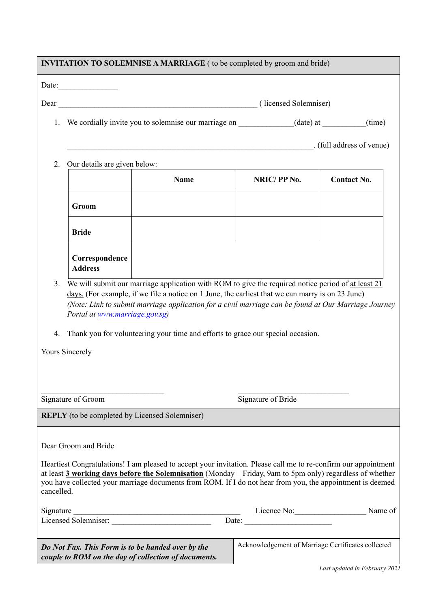| <b>INVITATION TO SOLEMNISE A MARRIAGE</b> ( to be completed by groom and bride)                                                                                                                                                                                                                                                                                                 |                                                          |                         |                                                    |                               |  |
|---------------------------------------------------------------------------------------------------------------------------------------------------------------------------------------------------------------------------------------------------------------------------------------------------------------------------------------------------------------------------------|----------------------------------------------------------|-------------------------|----------------------------------------------------|-------------------------------|--|
|                                                                                                                                                                                                                                                                                                                                                                                 | Date: $\frac{1}{\sqrt{1-\frac{1}{2}} \cdot \frac{1}{2}}$ |                         |                                                    |                               |  |
| Dear (licensed Solemniser) (licensed Solemniser)                                                                                                                                                                                                                                                                                                                                |                                                          |                         |                                                    |                               |  |
| 1. We cordially invite you to solemnise our marriage on ____________(date) at _______(time)                                                                                                                                                                                                                                                                                     |                                                          |                         |                                                    |                               |  |
|                                                                                                                                                                                                                                                                                                                                                                                 |                                                          | (full address of venue) |                                                    |                               |  |
| Our details are given below:<br>2.                                                                                                                                                                                                                                                                                                                                              |                                                          |                         |                                                    |                               |  |
|                                                                                                                                                                                                                                                                                                                                                                                 |                                                          | <b>Name</b>             | NRIC/PP No.                                        | <b>Contact No.</b>            |  |
|                                                                                                                                                                                                                                                                                                                                                                                 | Groom                                                    |                         |                                                    |                               |  |
|                                                                                                                                                                                                                                                                                                                                                                                 | <b>Bride</b>                                             |                         |                                                    |                               |  |
|                                                                                                                                                                                                                                                                                                                                                                                 | Correspondence<br><b>Address</b>                         |                         |                                                    |                               |  |
| days. (For example, if we file a notice on 1 June, the earliest that we can marry is on 23 June)<br>(Note: Link to submit marriage application for a civil marriage can be found at Our Marriage Journey<br>Portal at www.marriage.gov.sg)<br>Thank you for volunteering your time and efforts to grace our special occasion.<br>4.<br>Yours Sincerely                          |                                                          |                         |                                                    |                               |  |
| Signature of Groom                                                                                                                                                                                                                                                                                                                                                              |                                                          |                         | Signature of Bride                                 |                               |  |
| <b>REPLY</b> (to be completed by Licensed Solemniser)                                                                                                                                                                                                                                                                                                                           |                                                          |                         |                                                    |                               |  |
| Dear Groom and Bride<br>Heartiest Congratulations! I am pleased to accept your invitation. Please call me to re-confirm our appointment<br>at least 3 working days before the Solemnisation (Monday - Friday, 9am to 5pm only) regardless of whether<br>you have collected your marriage documents from ROM. If I do not hear from you, the appointment is deemed<br>cancelled. |                                                          |                         |                                                    |                               |  |
|                                                                                                                                                                                                                                                                                                                                                                                 |                                                          |                         |                                                    | Name of                       |  |
| Do Not Fax. This Form is to be handed over by the<br>couple to ROM on the day of collection of documents.                                                                                                                                                                                                                                                                       |                                                          |                         | Acknowledgement of Marriage Certificates collected |                               |  |
|                                                                                                                                                                                                                                                                                                                                                                                 |                                                          |                         |                                                    | Last updated in February 2021 |  |